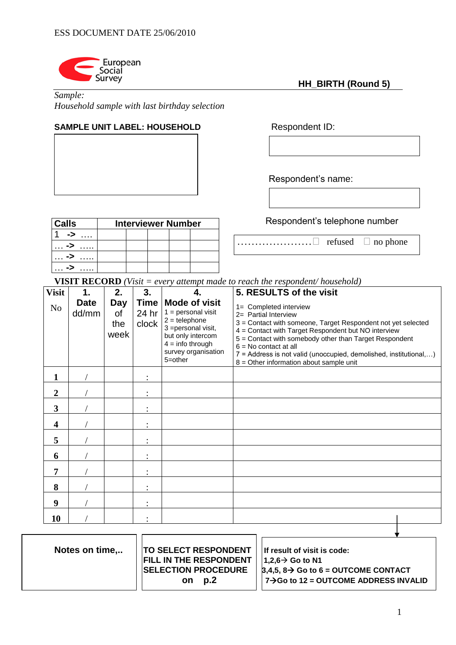

*Sample:* 

*Household sample with last birthday selection*

# **SAMPLE UNIT LABEL: HOUSEHOLD** Respondent ID:

Respondent's name:

Respondent's telephone number

 **HH\_BIRTH (Round 5)**

 $\dots\dots\dots\dots\dots\dots \square$  refused  $\square$  no phone

| <b>Calls</b> | <b>Interviewer Number</b> |  |  |  |  |
|--------------|---------------------------|--|--|--|--|
| - 2          |                           |  |  |  |  |
| ->           |                           |  |  |  |  |
| ->           |                           |  |  |  |  |
|              |                           |  |  |  |  |

**VISIT RECORD** *(Visit = every attempt made to reach the respondent/ household)*

| <b>Visit</b>            | 1.                   | 2.                       | 3.                     |                                                                                                                                                                         | 5. RESULTS of the visit                                                                                                                                                                                                                                                                                                                                                      |
|-------------------------|----------------------|--------------------------|------------------------|-------------------------------------------------------------------------------------------------------------------------------------------------------------------------|------------------------------------------------------------------------------------------------------------------------------------------------------------------------------------------------------------------------------------------------------------------------------------------------------------------------------------------------------------------------------|
| N <sub>o</sub>          | <b>Date</b><br>dd/mm | Day<br>οf<br>the<br>week | Time<br>24 hr<br>clock | <b>Mode of visit</b><br>$1 =$ personal visit<br>$2 =$ telephone<br>3 = personal visit,<br>but only intercom<br>$4 =$ info through<br>survey organisation<br>$5 =$ other | 1= Completed interview<br>2= Partial Interview<br>3 = Contact with someone, Target Respondent not yet selected<br>4 = Contact with Target Respondent but NO interview<br>5 = Contact with somebody other than Target Respondent<br>$6 = No contact at all$<br>7 = Address is not valid (unoccupied, demolished, institutional,)<br>$8 =$ Other information about sample unit |
| 1                       |                      |                          |                        |                                                                                                                                                                         |                                                                                                                                                                                                                                                                                                                                                                              |
| $\overline{2}$          |                      |                          |                        |                                                                                                                                                                         |                                                                                                                                                                                                                                                                                                                                                                              |
| $\overline{\mathbf{3}}$ |                      |                          |                        |                                                                                                                                                                         |                                                                                                                                                                                                                                                                                                                                                                              |
| $\overline{\mathbf{4}}$ |                      |                          |                        |                                                                                                                                                                         |                                                                                                                                                                                                                                                                                                                                                                              |
| 5                       |                      |                          |                        |                                                                                                                                                                         |                                                                                                                                                                                                                                                                                                                                                                              |
| 6                       |                      |                          |                        |                                                                                                                                                                         |                                                                                                                                                                                                                                                                                                                                                                              |
| 7                       |                      |                          |                        |                                                                                                                                                                         |                                                                                                                                                                                                                                                                                                                                                                              |
| 8                       |                      |                          |                        |                                                                                                                                                                         |                                                                                                                                                                                                                                                                                                                                                                              |
| 9                       |                      |                          |                        |                                                                                                                                                                         |                                                                                                                                                                                                                                                                                                                                                                              |
| 10                      |                      |                          |                        |                                                                                                                                                                         |                                                                                                                                                                                                                                                                                                                                                                              |
|                         |                      |                          |                        |                                                                                                                                                                         |                                                                                                                                                                                                                                                                                                                                                                              |

| Notes on time | <b>TO SELECT RESPONDENT</b>   | If result of visit is code:                             |
|---------------|-------------------------------|---------------------------------------------------------|
|               | <b>FILL IN THE RESPONDENT</b> | $1.2.6 \rightarrow$ Go to N1                            |
|               | <b>SELECTION PROCEDURE</b>    | $\beta$ ,4,5, 8 $\rightarrow$ Go to 6 = OUTCOME CONTACT |
|               | D.2<br>on.                    | $7 \rightarrow$ Go to 12 = OUTCOME ADDRESS INVALID      |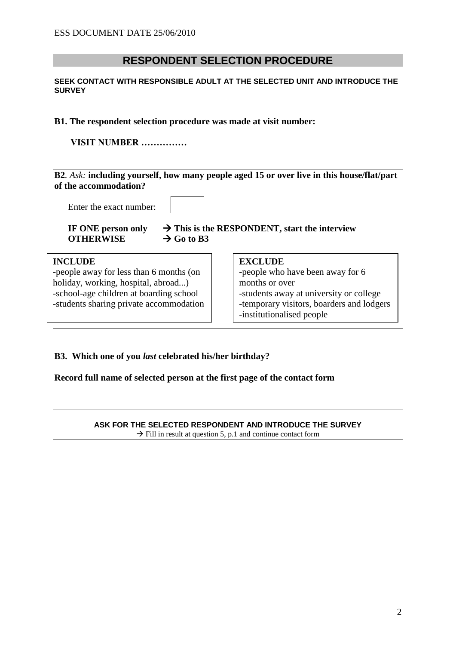# **RESPONDENT SELECTION PROCEDURE**

#### **SEEK CONTACT WITH RESPONSIBLE ADULT AT THE SELECTED UNIT AND INTRODUCE THE SURVEY**

### **B1. The respondent selection procedure was made at visit number:**

**VISIT NUMBER ……………**

## **B2***. Ask:* **including yourself, how many people aged 15 or over live in this house/flat/part of the accommodation?**

Enter the exact number:

**OTHERWISE**  $\rightarrow$  Go to B3

**IF** ONE person only  $\rightarrow$  This is the RESPONDENT, start the interview

| <b>INCLUDE</b><br>-people away for less than 6 months (on<br>holiday, working, hospital, abroad)<br>-school-age children at boarding school<br>-students sharing private accommodation | <b>EXCLUDE</b><br>-people who have been away for 6<br>months or over<br>-students away at university or college<br>-temporary visitors, boarders and lodgers<br>-institutionalised people |
|----------------------------------------------------------------------------------------------------------------------------------------------------------------------------------------|-------------------------------------------------------------------------------------------------------------------------------------------------------------------------------------------|
|                                                                                                                                                                                        |                                                                                                                                                                                           |

## **B3. Which one of you** *last* **celebrated his/her birthday?**

**Record full name of selected person at the first page of the contact form**

**ASK FOR THE SELECTED RESPONDENT AND INTRODUCE THE SURVEY**  $\rightarrow$  Fill in result at question 5, p.1 and continue contact form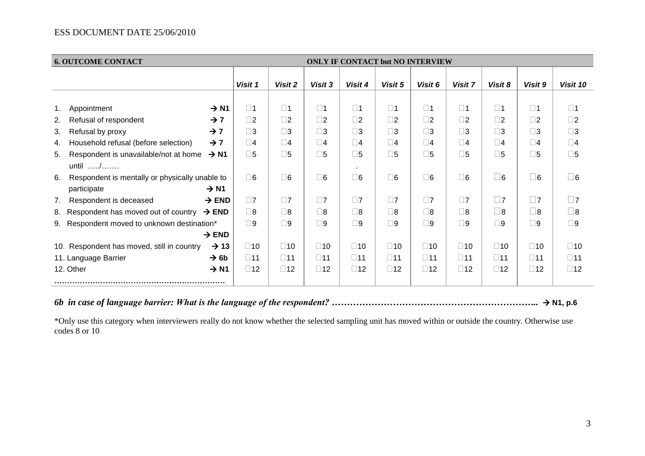## ESS DOCUMENT DATE 25/06/2010

| <b>6. OUTCOME CONTACT</b><br><b>ONLY IF CONTACT but NO INTERVIEW</b>                                                             |                              |                              |                              |                              |                              |                              |                              |                              |                              |                              |
|----------------------------------------------------------------------------------------------------------------------------------|------------------------------|------------------------------|------------------------------|------------------------------|------------------------------|------------------------------|------------------------------|------------------------------|------------------------------|------------------------------|
|                                                                                                                                  | Visit 1                      | Visit 2                      | Visit 3                      | Visit 4                      | Visit 5                      | Visit 6                      | Visit 7                      | Visit 8                      | Visit 9                      | Visit 10                     |
| $\rightarrow$ N1<br>Appointment<br>1.                                                                                            | $\square$ 1                  | $\square$ 1                  | $\square$ 1                  | $\square$ 1                  | $\square$ 1                  | $\square$ 1                  | $\square$ 1                  | $\square$ 1                  | $\square$ 1                  | $\square$ 1                  |
| Refusal of respondent<br>$\rightarrow$ 7<br>2.<br>$\rightarrow$ 7<br>Refusal by proxy<br>3.                                      | $\square$ 2<br>$\square$ 3   | $\square$<br>$\square$ 3     | $\square$<br>$\square$ 3     | $\square$ 2<br>$\square$ 3   | $\square$ 2<br>$\square$ 3   | $\square$ 2<br>$\square$ 3   | $\square$ 2<br>$\square$ 3   | $\square$ 2<br>$\square$ 3   | $\square$<br>$\square$ 3     | $\square$ 2<br>$\square$ 3   |
| Household refusal (before selection)<br>$\rightarrow$ 7<br>4.<br>Respondent is unavailable/not at home<br>$\rightarrow$ N1<br>5. | $\square$ 4<br>$\square$ 5   | $\square$ 4<br>$\square$ 5   | $\square$ 4<br>$\square$     | $\square$ 4<br>$\square$     | $\Box$ 4<br>$\square$ 5      | $\square$ 4<br>$\square$ 5   | $\Box$ 4<br>$\square$ 5      | $\square$ 4<br>$\square$     | $\square$ 4<br>$\square$     | $\square$ 4<br>$\square$ 5   |
| until $\ldots$<br>Respondent is mentally or physically unable to<br>6.<br>$\rightarrow$ N1<br>participate                        | $\square$ 6                  | $\square 6$                  | $\square 6$                  | $\mathbf{r}$<br>$\square$ 6  | $\square$ 6                  | $\square$ 6                  | $\square$ 6                  | $\square$ 6                  | $\square$ 6                  | $\square$ 6                  |
| Respondent is deceased<br>$\rightarrow$ END<br>7.                                                                                | $\square$ 7                  | $\square$ 7                  | $\Box$ 7                     | $\square$ 7                  | $\square$ 7                  | $\square$ 7                  | $\square$ 7                  | $\square$ 7                  | $\square$ 7                  | $\square$ 7                  |
| Respondent has moved out of country<br>$\rightarrow$ END<br>8.<br>Respondent moved to unknown destination*<br>9.                 | $\square$ 8<br>$\square$     | $\square$ 8<br>$\square$ 9   | $\square$ 8<br>$\square$     | $\square$ 8<br>$\square$ 9   | $\square$ 8<br>$\square$ 9   | $\square$ 8<br>$\square$ 9   | $\square$ 8<br>$\square$ 9   | $\square$ 8<br>$\square$ 9   | $\square$ 8<br>$\square$ 9   | $\square$ 8<br>$\square$ 9   |
| $\rightarrow$ END<br>10. Respondent has moved, still in country<br>$\rightarrow$ 13                                              | $\square$ 10                 | $\square$ 10                 | $\square$ 10                 | $\square$ 10                 | $\square$ 10                 | $\square$ 10                 | $\square$ 10                 | $\square$ 10                 | $\square$ 10                 | $\square$ 10                 |
| $\rightarrow$ 6b<br>11. Language Barrier<br>12. Other<br>$\rightarrow$ N1                                                        | $\square$ 11<br>$\square$ 12 | $\square$ 11<br>$\square$ 12 | $\square$ 11<br>$\square$ 12 | $\square$ 11<br>$\square$ 12 | $\square$ 11<br>$\square$ 12 | $\square$ 11<br>$\square$ 12 | $\square$ 11<br>$\square$ 12 | $\square$ 11<br>$\square$ 12 | $\square$ 11<br>$\square$ 12 | $\square$ 11<br>$\square$ 12 |
|                                                                                                                                  |                              |                              |                              |                              |                              |                              |                              |                              |                              |                              |

# *6b in case of language barrier: What is the language of the respondent? …………………………………………………………..* **N1, p.6**

\*Only use this category when interviewers really do not know whether the selected sampling unit has moved within or outside the country. Otherwise use codes 8 or 10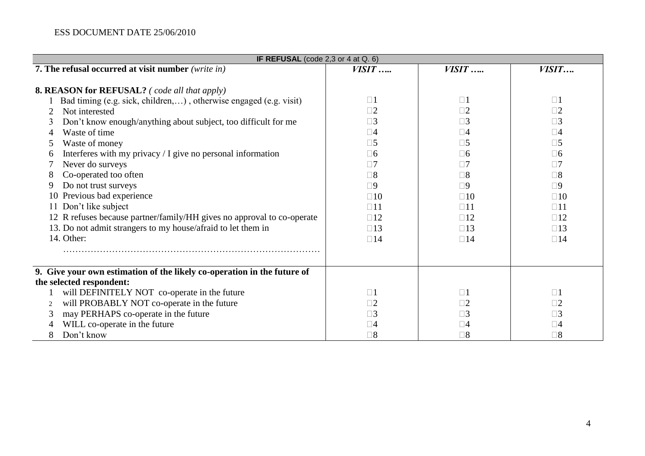# ESS DOCUMENT DATE 25/06/2010

| IF REFUSAL (code 2,3 or 4 at $Q. 6$ )                                                                                                                                                                                                                                                                                                                                                                   |                                                                                                                                                       |                                                                                                                                                             |                                                                                                                                                             |  |  |  |
|---------------------------------------------------------------------------------------------------------------------------------------------------------------------------------------------------------------------------------------------------------------------------------------------------------------------------------------------------------------------------------------------------------|-------------------------------------------------------------------------------------------------------------------------------------------------------|-------------------------------------------------------------------------------------------------------------------------------------------------------------|-------------------------------------------------------------------------------------------------------------------------------------------------------------|--|--|--|
| 7. The refusal occurred at visit number (write in)                                                                                                                                                                                                                                                                                                                                                      | $VISIT$                                                                                                                                               | $VISIT$                                                                                                                                                     | VISIT                                                                                                                                                       |  |  |  |
| <b>8. REASON for REFUSAL?</b> (code all that apply)                                                                                                                                                                                                                                                                                                                                                     |                                                                                                                                                       |                                                                                                                                                             |                                                                                                                                                             |  |  |  |
| Bad timing (e.g. sick, children,), otherwise engaged (e.g. visit)<br>Not interested<br>Don't know enough/anything about subject, too difficult for me<br>3<br>Waste of time<br>Waste of money<br>Interferes with my privacy / I give no personal information<br>6<br>Never do surveys<br>Co-operated too often<br>8<br>Do not trust surveys<br>9<br>10 Previous bad experience<br>11 Don't like subject | $\square$ 1<br>$\Box$ 2<br>$\square$ 3<br>$\Box 4$<br>$\square 5$<br>$\Box 6$<br>$\Box 7$<br>$\square 8$<br>$\square$<br>$\square 10$<br>$\square$ 11 | $\square$ 1<br>$\Box$ 2<br>$\square$ 3<br>$\square 4$<br>$\square 5$<br>$\square 6$<br>$\Box$ 7<br>$\square 8$<br>$\square$<br>$\square 10$<br>$\square$ 11 | $\Box$ 1<br>$\square 2$<br>$\square$ 3<br>$\square 4$<br>$\square 5$<br>$\square 6$<br>$\Box$ 7<br>$\square 8$<br>$\square$<br>$\square 10$<br>$\square$ 11 |  |  |  |
| 12 R refuses because partner/family/HH gives no approval to co-operate<br>13. Do not admit strangers to my house/afraid to let them in<br>14. Other:                                                                                                                                                                                                                                                    | $\square$ 12<br>$\square$ 13<br>$\square$ 14                                                                                                          | $\square$ 12<br>$\square$ 13<br>$\square$ 14                                                                                                                | $\square$ 12<br>$\square$ 13<br>$\square$ 14                                                                                                                |  |  |  |
| 9. Give your own estimation of the likely co-operation in the future of                                                                                                                                                                                                                                                                                                                                 |                                                                                                                                                       |                                                                                                                                                             |                                                                                                                                                             |  |  |  |
| the selected respondent:<br>will DEFINITELY NOT co-operate in the future<br>will PROBABLY NOT co-operate in the future<br>2<br>may PERHAPS co-operate in the future<br>3<br>WILL co-operate in the future<br>Don't know<br>8                                                                                                                                                                            | $\square$ 1<br>$\Box 2$<br>٦3<br>$\Box 4$<br>$\square 8$                                                                                              | $\square$ 1<br>$\square 2$<br>$\Box 3$<br>$\square 4$<br>$\square 8$                                                                                        | $\Box$ 1<br>$\square 2$<br>$\square$ 3<br>$\square 4$<br>$\square 8$                                                                                        |  |  |  |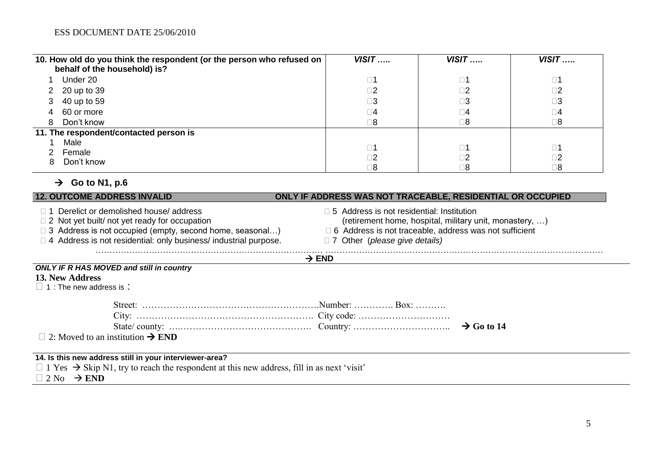|    | 10. How old do you think the respondent (or the person who refused on<br>behalf of the household) is? | $VISIT$     | $VISIT$     | $VISIT$     |
|----|-------------------------------------------------------------------------------------------------------|-------------|-------------|-------------|
|    | Under 20                                                                                              | $\square$ 1 | $\square$ 1 | $\square$ 1 |
|    | 2 20 up to 39                                                                                         | $\square$ 2 | $\square$ 2 | $\square$ 2 |
|    | 3 40 up to 59                                                                                         | $\square 3$ | $\square$ 3 | $\square 3$ |
|    | 4 60 or more                                                                                          | $\square$ 4 | $\square 4$ | $\square 4$ |
| 8  | Don't know                                                                                            | $\square 8$ | $\square 8$ | $\square 8$ |
|    | 11. The respondent/contacted person is                                                                |             |             |             |
|    | Male                                                                                                  | $\square$ 1 | $\square$ 1 | $\square$ 1 |
|    | Female                                                                                                | $\square$ 2 | $\square$ 2 | $\square$   |
| 8. | Don't know                                                                                            | $\square 8$ | $\square 8$ | $\square 8$ |

# $\rightarrow$  Go to N1, p.6

| <b>12. OUTCOME ADDRESS INVALID</b>                                                                                                                                                                                                         | ONLY IF ADDRESS WAS NOT TRACEABLE, RESIDENTIAL OR OCCUPIED                                                                                                                                                           |  |  |  |  |
|--------------------------------------------------------------------------------------------------------------------------------------------------------------------------------------------------------------------------------------------|----------------------------------------------------------------------------------------------------------------------------------------------------------------------------------------------------------------------|--|--|--|--|
| □ 1 Derelict or demolished house/ address<br>$\Box$ 2 Not yet built/ not yet ready for occupation<br>$\Box$ 3 Address is not occupied (empty, second home, seasonal)<br>□ 4 Address is not residential: only business/ industrial purpose. | $\Box$ 5 Address is not residential: Institution<br>(retirement home, hospital, military unit, monastery, )<br>$\Box$ 6 Address is not traceable, address was not sufficient<br>$\Box$ 7 Other (please give details) |  |  |  |  |
|                                                                                                                                                                                                                                            | $\rightarrow$ END                                                                                                                                                                                                    |  |  |  |  |
| <b>ONLY IF R HAS MOVED and still in country</b><br>13. New Address<br>$\Box$ 1 : The new address is:                                                                                                                                       |                                                                                                                                                                                                                      |  |  |  |  |
|                                                                                                                                                                                                                                            | $\rightarrow$ Go to 14                                                                                                                                                                                               |  |  |  |  |
| $\Box$ 2: Moved to an institution $\rightarrow$ END                                                                                                                                                                                        |                                                                                                                                                                                                                      |  |  |  |  |
| 14. Is this new address still in your interviewer-area?<br>$\Box$ 1 Yes $\rightarrow$ Skip N1, try to reach the respondent at this new address, fill in as next 'visit'                                                                    |                                                                                                                                                                                                                      |  |  |  |  |

 $\Box$  1 Tes  $\rightarrow$  Ship 1.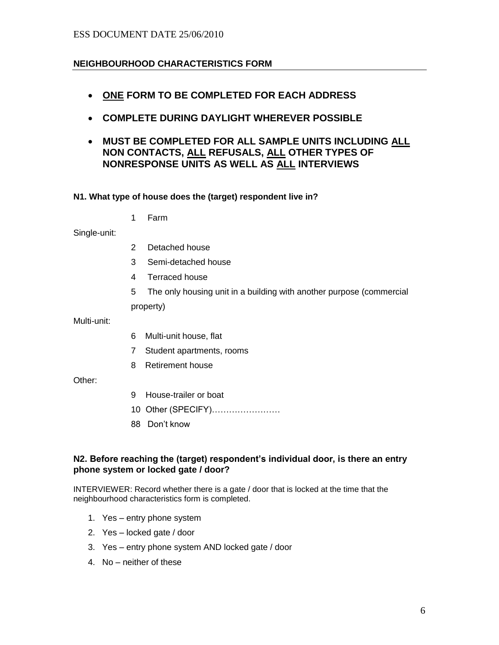#### ESS DOCUMENT DATE 25/06/2010

#### **NEIGHBOURHOOD CHARACTERISTICS FORM**

- **ONE FORM TO BE COMPLETED FOR EACH ADDRESS**
- **COMPLETE DURING DAYLIGHT WHEREVER POSSIBLE**
- **MUST BE COMPLETED FOR ALL SAMPLE UNITS INCLUDING ALL NON CONTACTS, ALL REFUSALS, ALL OTHER TYPES OF NONRESPONSE UNITS AS WELL AS ALL INTERVIEWS**

#### **N1. What type of house does the (target) respondent live in?**

1 Farm

Single-unit:

- 2 Detached house
- 3 Semi-detached house
- 4 Terraced house
- 5 The only housing unit in a building with another purpose (commercial

property)

Multi-unit:

- 6 Multi-unit house, flat
- 7 Student apartments, rooms
- 8 Retirement house

Other:

- 9 House-trailer or boat
- 10 Other (SPECIFY)……………………
- 88 Don't know

#### **N2. Before reaching the (target) respondent's individual door, is there an entry phone system or locked gate / door?**

INTERVIEWER: Record whether there is a gate / door that is locked at the time that the neighbourhood characteristics form is completed.

- 1. Yes entry phone system
- 2. Yes locked gate / door
- 3. Yes entry phone system AND locked gate / door
- 4. No neither of these